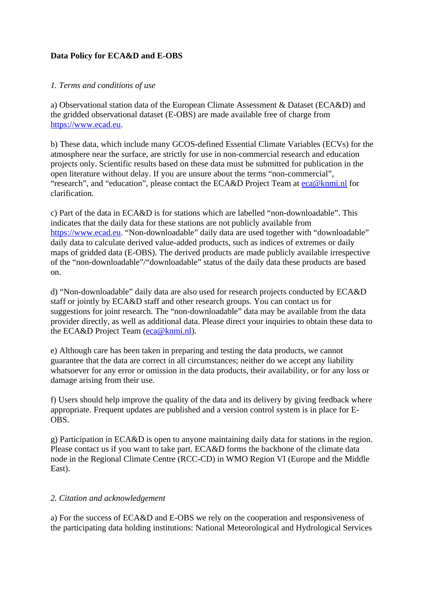#### **Data Policy for ECA&D and E-OBS**

#### *1. Terms and conditions of use*

a) Observational station data of the European Climate Assessment & Dataset (ECA&D) and the gridded observational dataset (E-OBS) are made available free of charge from [https://www.ecad.eu.](http://www.ecad.eu/)

b) These data, which include many GCOS-defined Essential Climate Variables (ECVs) for the atmosphere near the surface, are strictly for use in non-commercial research and education projects only. Scientific results based on these data must be submitted for publication in the open literature without delay. If you are unsure about the terms "non-commercial", "research", and "education", please contact the ECA&D Project Team at  $e$ ca $\omega$ knmi.nl for clarification.

c) Part of the data in ECA&D is for stations which are labelled "non-downloadable". This indicates that the daily data for these stations are not publicly available from [https://www.ecad.eu.](http://www.ecad.eu/) "Non-downloadable" daily data are used together with "downloadable" daily data to calculate derived value-added products, such as indices of extremes or daily maps of gridded data (E-OBS). The derived products are made publicly available irrespective of the "non-downloadable"/"downloadable" status of the daily data these products are based on.

d) "Non-downloadable" daily data are also used for research projects conducted by ECA&D staff or jointly by ECA&D staff and other research groups. You can contact us for suggestions for joint research. The "non-downloadable" data may be available from the data provider directly, as well as additional data. Please direct your inquiries to obtain these data to the ECA&D Project Team ([eca@knmi.nl](mailto:eca@knmi.nl?subject=Inquiries%20non-downloadable%20data)).

e) Although care has been taken in preparing and testing the data products, we cannot guarantee that the data are correct in all circumstances; neither do we accept any liability whatsoever for any error or omission in the data products, their availability, or for any loss or damage arising from their use.

f) Users should help improve the quality of the data and its delivery by giving feedback where appropriate. Frequent updates are published and a version control system is in place for E-OBS.

g) Participation in ECA&D is open to anyone maintaining daily data for stations in the region. Please contact us if you want to take part. ECA&D forms the backbone of the climate data node in the Regional Climate Centre (RCC-CD) in WMO Region VI (Europe and the Middle East).

#### *2. Citation and acknowledgement*

a) For the success of ECA&D and E-OBS we rely on the cooperation and responsiveness of the participating data holding institutions: National Meteorological and Hydrological Services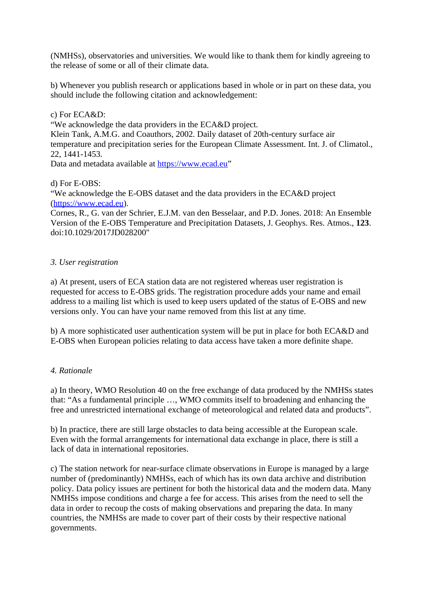(NMHSs), observatories and universities. We would like to thank them for kindly agreeing to the release of some or all of their climate data.

b) Whenever you publish research or applications based in whole or in part on these data, you should include the following citation and acknowledgement:

# c) For ECA&D:

"We acknowledge the data providers in the ECA&D project.

Klein Tank, A.M.G. and Coauthors, 2002. Daily dataset of 20th-century surface air temperature and precipitation series for the European Climate Assessment. Int. J. of Climatol., 22, 1441-1453.

Data and metadata available at [https://www.ecad.eu"](http://www.ecad.eu/)

d) For E-OBS:

"We acknowledge the E-OBS dataset and the data providers in the ECA&D project ([https://www.ecad.eu\)](http://www.ecad.eu/).

Cornes, R., G. van der Schrier, E.J.M. van den Besselaar, and P.D. Jones. 2018: An Ensemble Version of the E-OBS Temperature and Precipitation Datasets, J. Geophys. Res. Atmos., **123**. doi:10.1029/2017JD028200"

# *3. User registration*

a) At present, users of ECA station data are not registered whereas user registration is requested for access to E-OBS grids. The registration procedure adds your name and email address to a mailing list which is used to keep users updated of the status of E-OBS and new versions only. You can have your name removed from this list at any time.

b) A more sophisticated user authentication system will be put in place for both ECA&D and E-OBS when European policies relating to data access have taken a more definite shape.

# *4. Rationale*

a) In theory, WMO Resolution 40 on the free exchange of data produced by the NMHSs states that: "As a fundamental principle …, WMO commits itself to broadening and enhancing the free and unrestricted international exchange of meteorological and related data and products".

b) In practice, there are still large obstacles to data being accessible at the European scale. Even with the formal arrangements for international data exchange in place, there is still a lack of data in international repositories.

c) The station network for near-surface climate observations in Europe is managed by a large number of (predominantly) NMHSs, each of which has its own data archive and distribution policy. Data policy issues are pertinent for both the historical data and the modern data. Many NMHSs impose conditions and charge a fee for access. This arises from the need to sell the data in order to recoup the costs of making observations and preparing the data. In many countries, the NMHSs are made to cover part of their costs by their respective national governments.